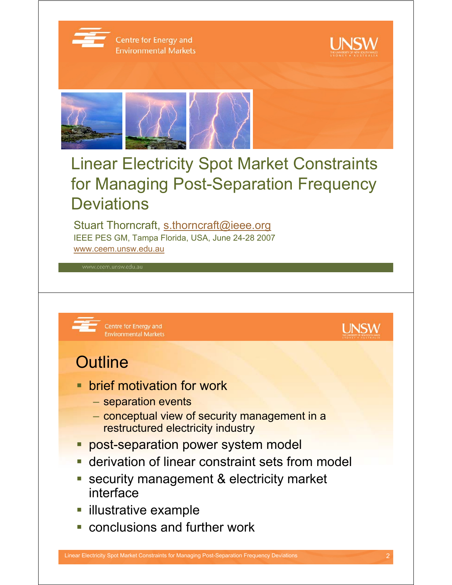

Centre for Energy and **Environmental Markets** 



**UNSW** 



# Linear Electricity Spot Market Constraints for Managing Post-Separation Frequency **Deviations**

Stuart Thorncraft, s.thorncraft@ieee.org IEEE PES GM, Tampa Florida, USA, June 24-28 2007 www.ceem.unsw.edu.au



Centre for Energy and **Environmental Markets** 

## **Outline**

- **brief motivation for work** 
	- separation events
	- conceptual view of security management in a restructured electricity industry
- **Prost-separation power system model**
- **derivation of linear constraint sets from model**
- **security management & electricity market** interface
- **Industrative example**
- **Exercise conclusions and further work**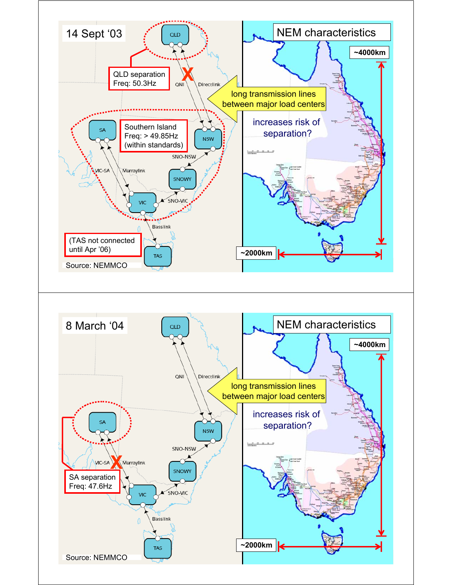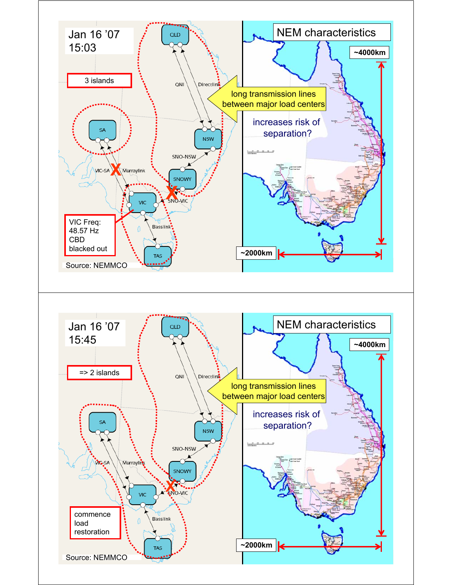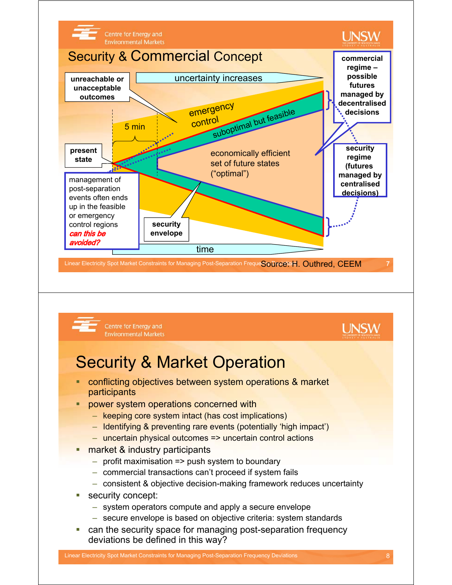

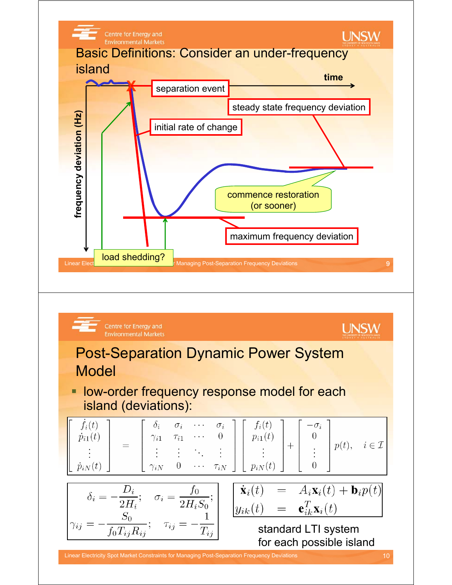

$$
\begin{bmatrix}\n\dot{f}_i(t) \\
\dot{p}_{i1}(t) \\
\vdots \\
\dot{p}_{iN}(t)\n\end{bmatrix} = \begin{bmatrix}\n\delta_i & \sigma_i & \cdots & \sigma_i \\
\gamma_{i1} & \tau_{i1} & \cdots & 0 \\
\vdots & \vdots & \ddots & \vdots \\
\gamma_{iN} & 0 & \cdots & \tau_{iN}\n\end{bmatrix} \begin{bmatrix}\nf_i(t) \\
p_{i1}(t) \\
\vdots \\
p_{iN}(t)\n\end{bmatrix} + \begin{bmatrix}\n-\sigma_i \\
0 \\
\vdots \\
0\n\end{bmatrix} p(t), \quad i \in \mathcal{I}
$$

$$
\delta_i = -\frac{D_i}{2H_i}; \quad \sigma_i = \frac{f_0}{2H_iS_0};
$$

$$
\gamma_{ij} = -\frac{S_0}{f_0T_{ij}R_{ij}}; \quad \tau_{ij} = -\frac{1}{T_{ij}}
$$

 $= A_i \mathbf{x}_i(t) + \mathbf{b}_i p(t)$  $\dot{\mathbf{x}}_i(t)$  $\mathbf{e}_{ik}^T\mathbf{x}_i(t)$  $y_{ik}(t)$  $=$ 

> standard LTI system for each possible island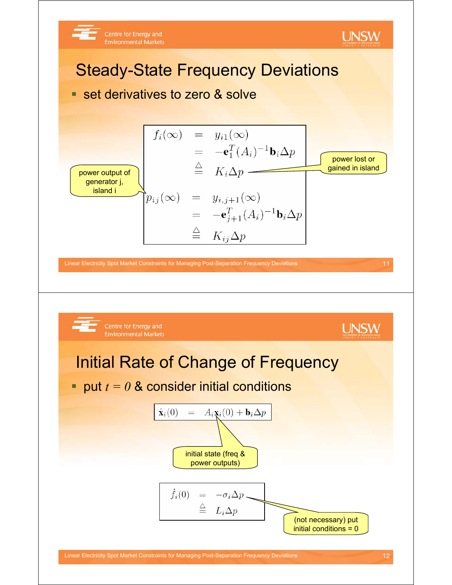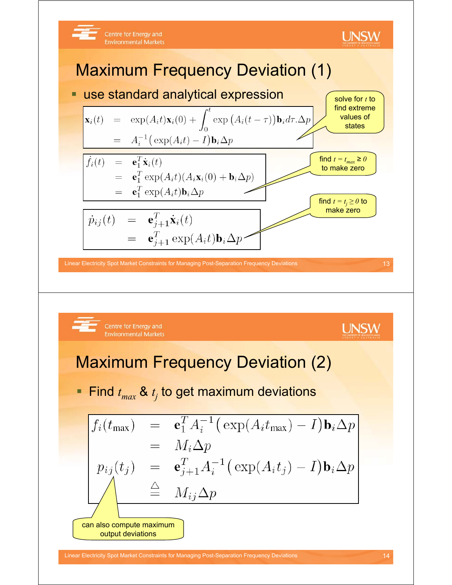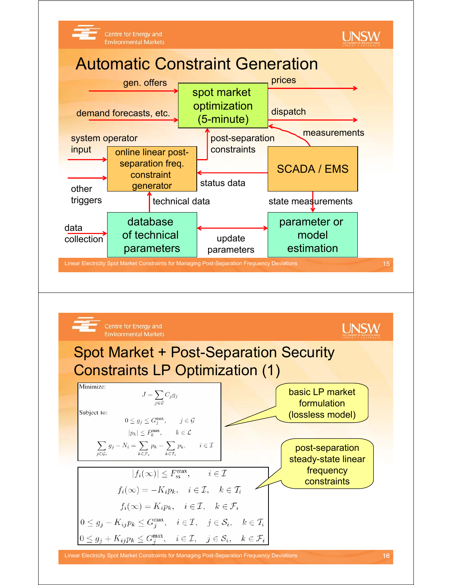

Linear Electricity Spot Market Constraints for Managing Post-Separation Frequency Deviations 16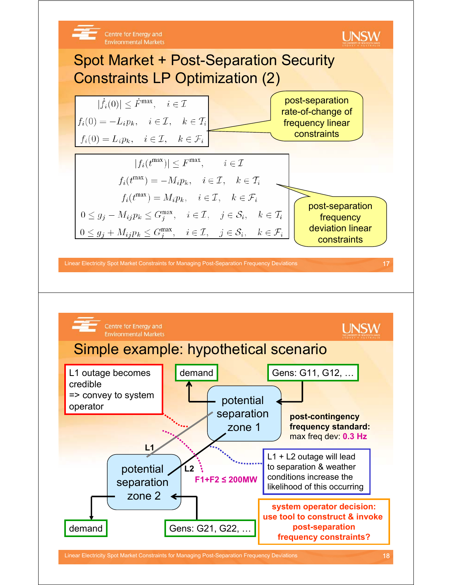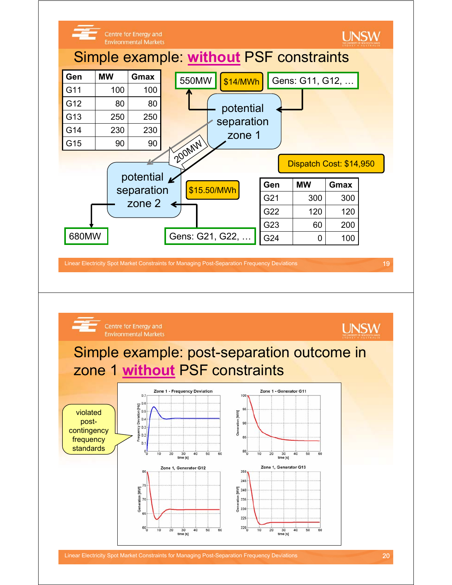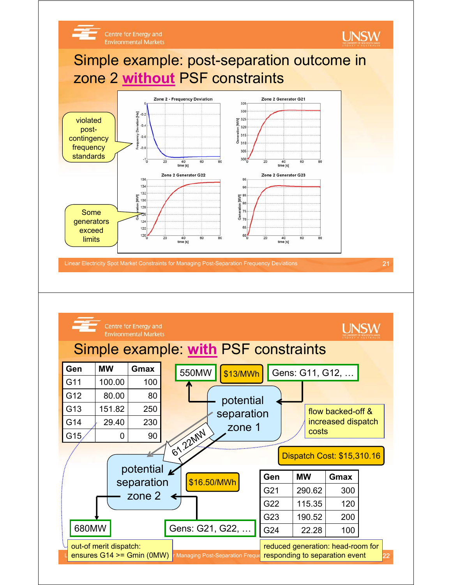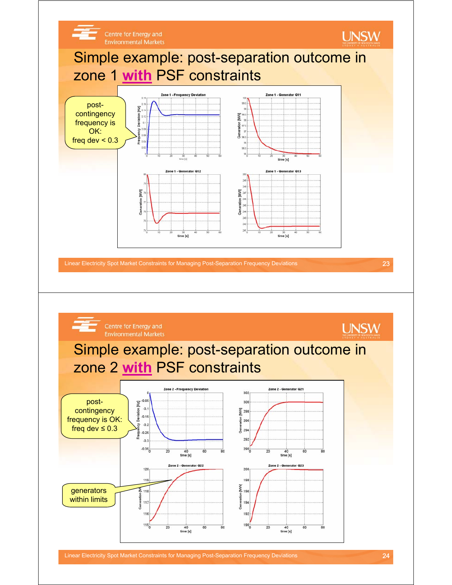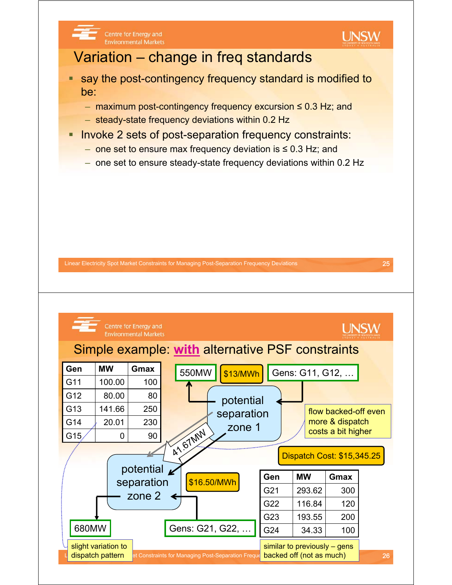

et Constraints for Managing Post-Separation Frequency Dacked off (not as much) **Fig. 1998** 26 680MW Gens: G21, G22, ... G24  $|$  34.33 | 100 similar to previously – gens backed off (not as much) slight variation to dispatch pattern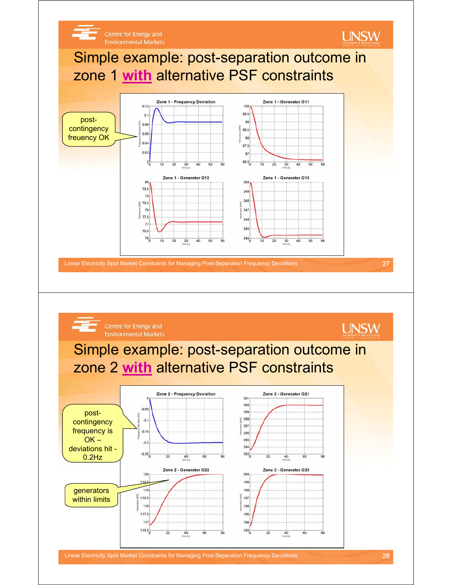

Linear Electricity Spot Market Constraints for Managing Post-Separation Frequency Deviations 28